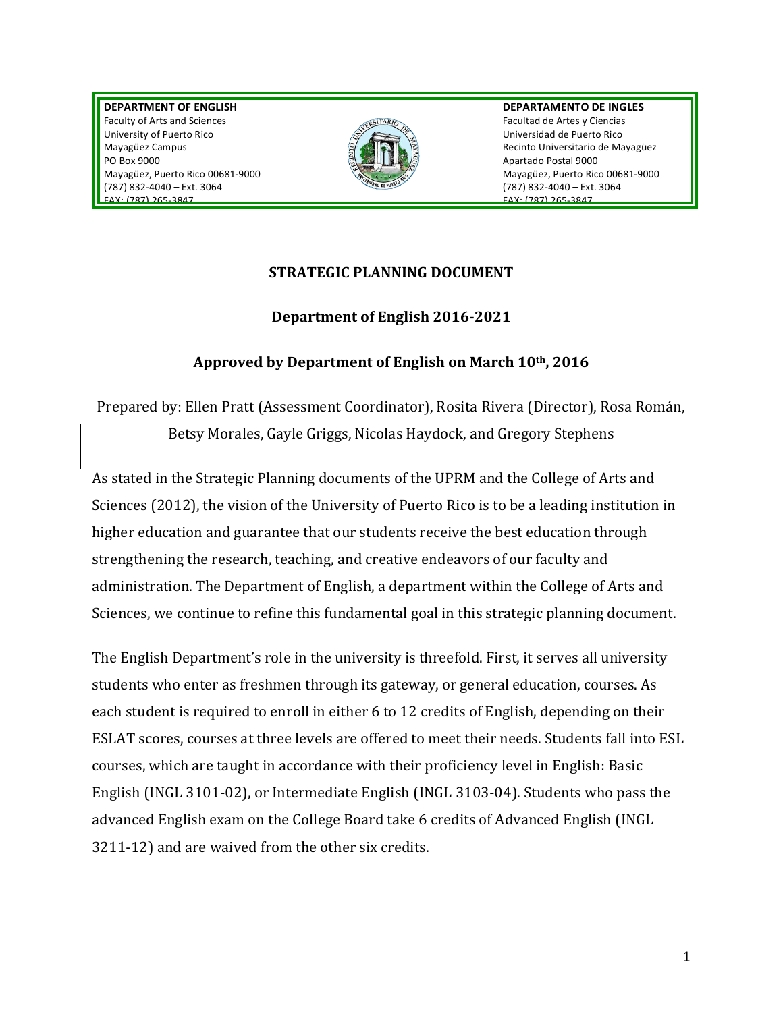**DEPARTMENT)OF)ENGLISH** Faculty of Arts and Sciences University of Puerto Rico Mayagüez Campus PO!Box!9000 Mayagüez, Puerto Rico 00681-9000 (787) 832-4040 – Ext. 3064 FAX:!(787)!265G3847



**DEPARTAMENTO DE INGLES** Facultad de Artes y Ciencias Universidad de Puerto Rico Recinto Universitario de Mayagüez Apartado Postal 9000 Mayagüez, Puerto Rico 00681-9000 (787) 832-4040 – Ext. 3064 FAX:!(787)!265G3847

### **STRATEGIC PLANNING DOCUMENT**

## **Department of English 2016-2021**

# Approved by Department of English on March 10<sup>th</sup>, 2016

Prepared by: Ellen Pratt (Assessment Coordinator), Rosita Rivera (Director), Rosa Román, Betsy Morales, Gayle Griggs, Nicolas Haydock, and Gregory Stephens

As stated in the Strategic Planning documents of the UPRM and the College of Arts and Sciences (2012), the vision of the University of Puerto Rico is to be a leading institution in higher education and guarantee that our students receive the best education through strengthening the research, teaching, and creative endeavors of our faculty and administration. The Department of English, a department within the College of Arts and Sciences, we continue to refine this fundamental goal in this strategic planning document.

The English Department's role in the university is threefold. First, it serves all university students who enter as freshmen through its gateway, or general education, courses. As each student is required to enroll in either 6 to 12 credits of English, depending on their ESLAT scores, courses at three levels are offered to meet their needs. Students fall into ESL courses, which are taught in accordance with their proficiency level in English: Basic English (INGL 3101-02), or Intermediate English (INGL 3103-04). Students who pass the advanced'English'exam'on'the'College'Board'take'6'credits'of'Advanced'English (INGL' 3211-12) and are waived from the other six credits.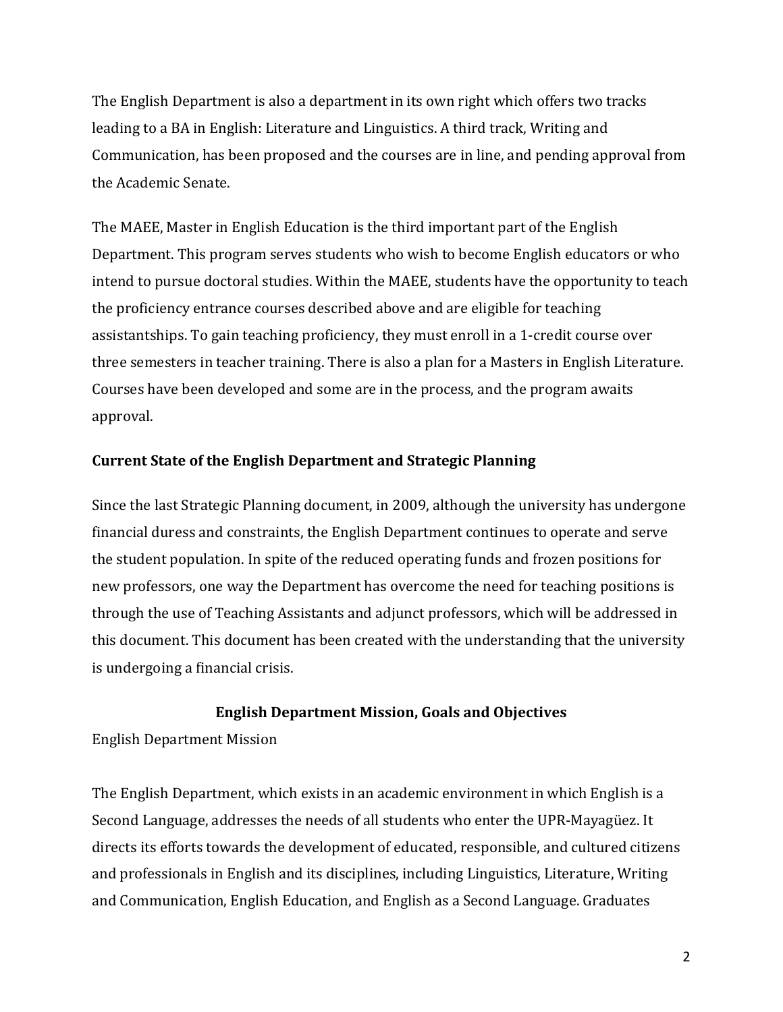The English Department is also a department in its own right which offers two tracks leading to a BA in English: Literature and Linguistics. A third track, Writing and Communication, has been proposed and the courses are in line, and pending approval from the Academic Senate.

The MAEE, Master in English Education is the third important part of the English Department. This program serves students who wish to become English educators or who intend to pursue doctoral studies. Within the MAEE, students have the opportunity to teach the proficiency entrance courses described above and are eligible for teaching assistantships. To gain teaching proficiency, they must enroll in a 1-credit course over three semesters in teacher training. There is also a plan for a Masters in English Literature. Courses have been developed and some are in the process, and the program awaits approval.

### **Current State of the English Department and Strategic Planning**

Since the last Strategic Planning document, in 2009, although the university has undergone financial duress and constraints, the English Department continues to operate and serve the student population. In spite of the reduced operating funds and frozen positions for new professors, one way the Department has overcome the need for teaching positions is through the use of Teaching Assistants and adjunct professors, which will be addressed in this document. This document has been created with the understanding that the university is undergoing a financial crisis.

### **English Department Mission, Goals and Objectives**

English'Department'Mission

The English Department, which exists in an academic environment in which English is a Second Language, addresses the needs of all students who enter the UPR-Mayagüez. It directs its efforts towards the development of educated, responsible, and cultured citizens and professionals in English and its disciplines, including Linguistics, Literature, Writing and Communication, English Education, and English as a Second Language. Graduates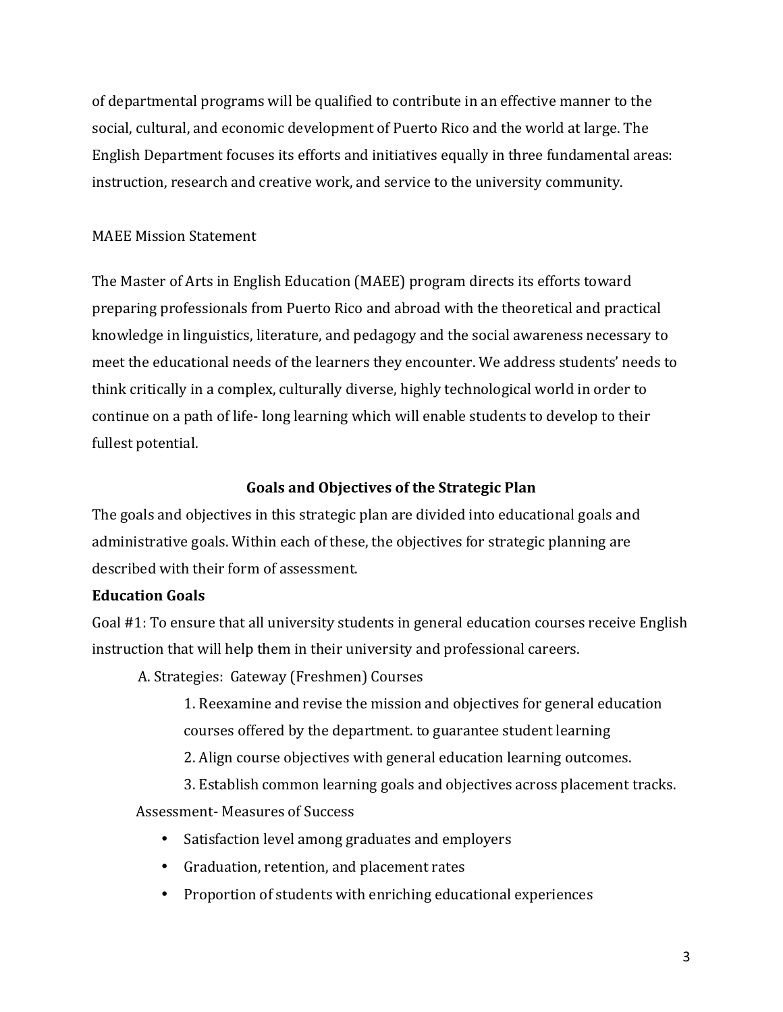of'departmental'programs'will'be'qualified'to'contribute'in'an'effective'manner'to'the social, cultural, and economic development of Puerto Rico and the world at large. The English Department focuses its efforts and initiatives equally in three fundamental areas: instruction, research and creative work, and service to the university community.

## MAEE Mission Statement

The Master of Arts in English Education (MAEE) program directs its efforts toward preparing professionals from Puerto Rico and abroad with the theoretical and practical knowledge in linguistics, literature, and pedagogy and the social awareness necessary to meet the educational needs of the learners they encounter. We address students' needs to think critically in a complex, culturally diverse, highly technological world in order to continue on a path of life-long learning which will enable students to develop to their fullest potential.

### Goals and Objectives of the Strategic Plan

The goals and objectives in this strategic plan are divided into educational goals and administrative goals. Within each of these, the objectives for strategic planning are described with their form of assessment.

## **Education Goals**

Goal #1: To ensure that all university students in general education courses receive English instruction that will help them in their university and professional careers.

A. Strategies: Gateway (Freshmen) Courses

1. Reexamine and revise the mission and objectives for general education courses offered by the department. to guarantee student learning

2. Align course objectives with general education learning outcomes.

3. Establish common learning goals and objectives across placement tracks.

Assessment-Measures of Success

- Satisfaction level among graduates and employers
- Graduation, retention, and placement rates
- Proportion of students with enriching educational experiences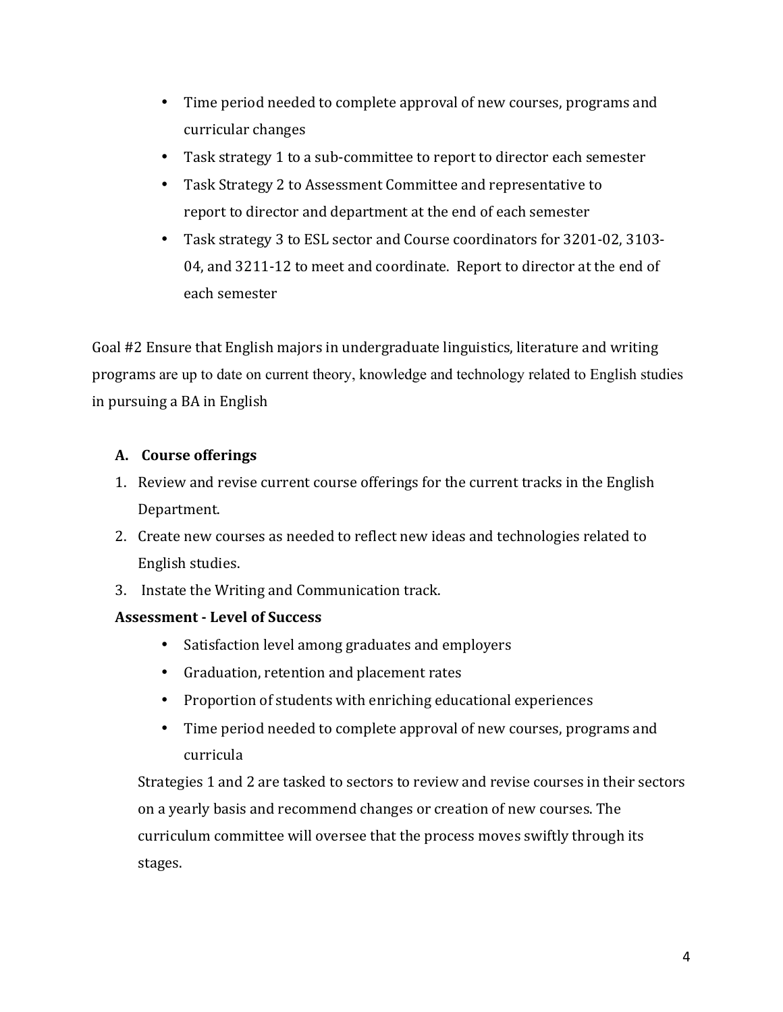- Time period needed to complete approval of new courses, programs and curricular changes
- Task strategy 1 to a sub-committee to report to director each semester
- Task Strategy 2 to Assessment Committee and representative to report to director and department at the end of each semester
- Task strategy 3 to ESL sector and Course coordinators for 3201-02, 3103-04, and 3211-12 to meet and coordinate. Report to director at the end of each semester

Goal #2 Ensure that English majors in undergraduate linguistics, literature and writing programs'are up to date on current theory, knowledge and technology related to English studies in pursuing a BA in English

## **A. Course!offerings**

- 1. Review and revise current course offerings for the current tracks in the English Department.'
- 2. Create new courses as needed to reflect new ideas and technologies related to English studies.
- 3. Instate the Writing and Communication track.

## **Assessment - Level of Success**

- Satisfaction level among graduates and employers
- Graduation, retention and placement rates
- Proportion of students with enriching educational experiences
- Time period needed to complete approval of new courses, programs and curricula'

Strategies 1 and 2 are tasked to sectors to review and revise courses in their sectors on'a'yearly'basis'and recommend'changes'or'creation'of'new'courses.'The' curriculum committee will oversee that the process moves swiftly through its stages.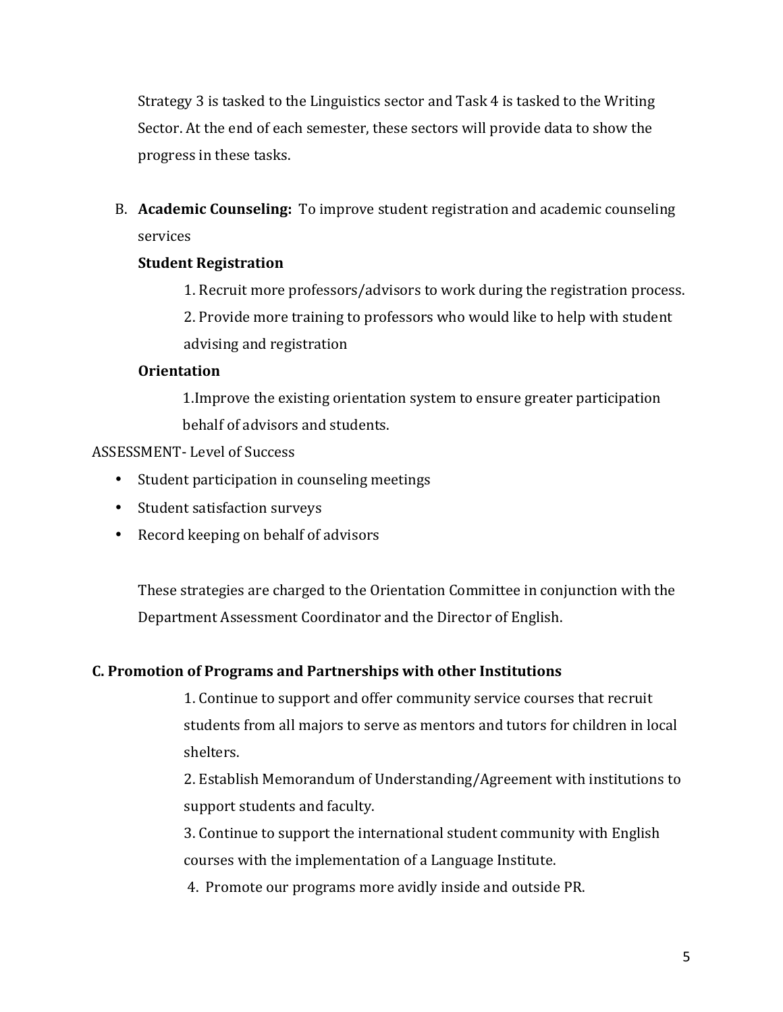Strategy'3 is tasked to the Linguistics sector and Task 4 is tasked to the Writing' Sector. At the end of each semester, these sectors will provide data to show the progress in these tasks.

B. **Academic Counseling:** To improve student registration and academic counseling services'

## **Student Registration**

1. Recruit more professors/advisors to work during the registration process.

2. Provide more training to professors who would like to help with student advising and registration

### **Orientation**

1. Improve the existing orientation system to ensure greater participation behalf of advisors and students.

### ASSESSMENT-Level of Success

- Student participation in counseling meetings
- Student satisfaction surveys
- Record keeping on behalf of advisors

These strategies are charged to the Orientation Committee in conjunction with the Department Assessment Coordinator and the Director of English.

## **C. Promotion of Programs and Partnerships with other Institutions**

1. Continue to support and offer community service courses that recruit students from all majors to serve as mentors and tutors for children in local shelters.

2. Establish Memorandum of Understanding/Agreement with institutions to support students and faculty.

3. Continue to support the international student community with English courses with the implementation of a Language Institute.

4. Promote our programs more avidly inside and outside PR.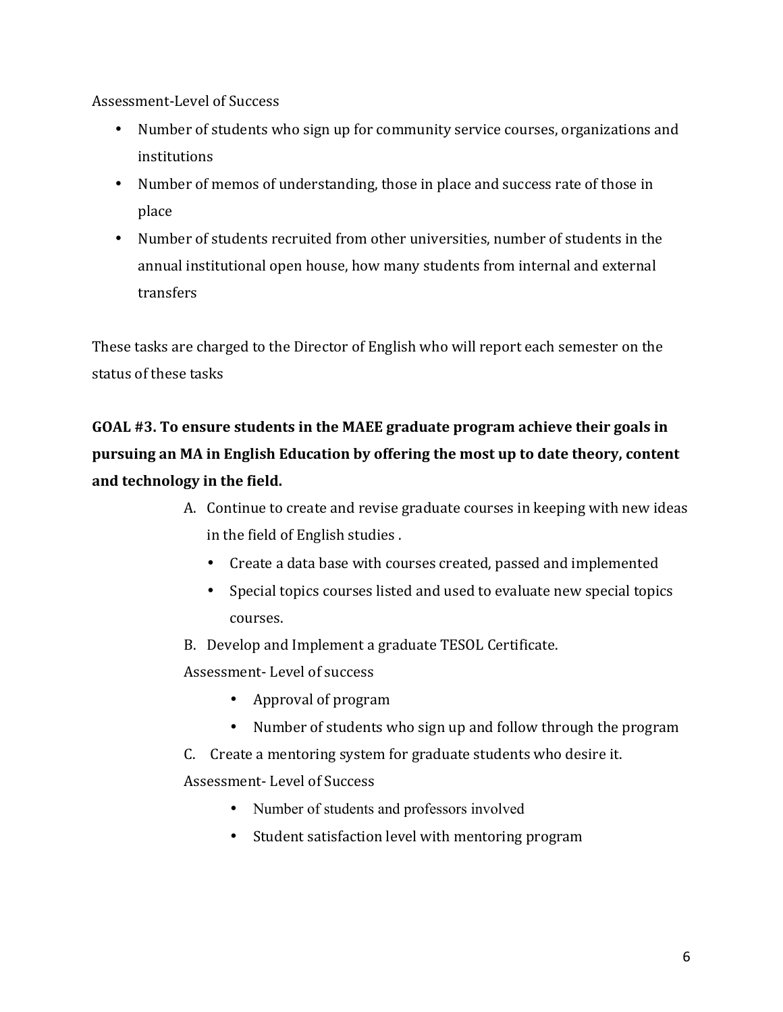Assessment-Level of Success

- Number of students who sign up for community service courses, organizations and institutions
- Number of memos of understanding, those in place and success rate of those in place
- Number of students recruited from other universities, number of students in the annual'institutional'open'house,'how'many'students'from'internal'and'external' transfers

These tasks are charged to the Director of English who will report each semester on the status of these tasks

# **GOAL #3.** To ensure students in the MAEE graduate program achieve their goals in **pursuing an MA in English Education by offering the most up to date theory, content** and technology in the field.

- A. Continue to create and revise graduate courses in keeping with new ideas in the field of English studies.
	- Create a data base with courses created, passed and implemented
	- Special topics courses listed and used to evaluate new special topics courses.
- B. Develop and Implement a graduate TESOL Certificate.

Assessment-Level of success

- Approval of program
- Number of students who sign up and follow through the program
- C. Create a mentoring system for graduate students who desire it.

Assessment-Level of Success

- Number of students and professors involved
- Student satisfaction level with mentoring program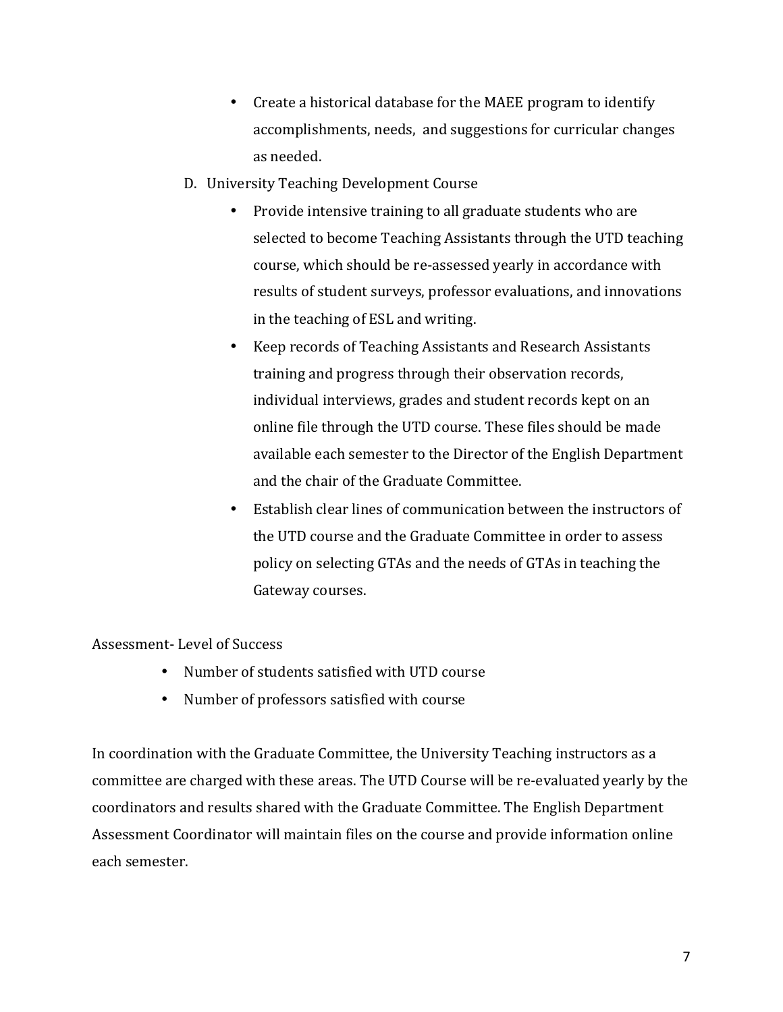- Create a historical database for the MAEE program to identify accomplishments, needs, and suggestions for curricular changes as needed.
- D. University Teaching Development Course
	- Provide intensive training to all graduate students who are selected to become Teaching Assistants through the UTD teaching course, which should be re-assessed yearly in accordance with results of student surveys, professor evaluations, and innovations in the teaching of ESL and writing.
	- Keep records of Teaching Assistants and Research Assistants training and progress through their observation records, individual interviews, grades and student records kept on an online file through the UTD course. These files should be made available each semester to the Director of the English Department and the chair of the Graduate Committee.
	- Establish clear lines of communication between the instructors of the UTD course and the Graduate Committee in order to assess policy on selecting GTAs and the needs of GTAs in teaching the Gateway courses.

Assessment-Level of Success

- Number of students satisfied with UTD course
- Number of professors satisfied with course

In coordination with the Graduate Committee, the University Teaching instructors as a committee are charged with these areas. The UTD Course will be re-evaluated yearly by the coordinators and results shared with the Graduate Committee. The English Department Assessment Coordinator will maintain files on the course and provide information online each'semester.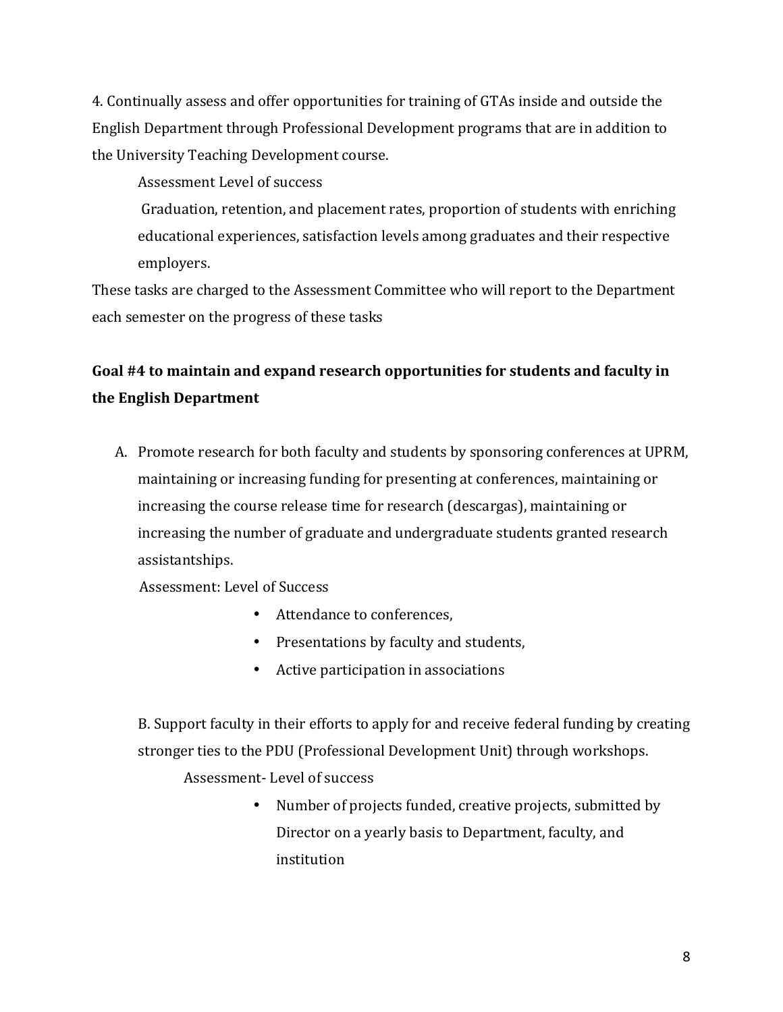4. Continually assess and offer opportunities for training of GTAs inside and outside the English Department through Professional Development programs that are in addition to the University Teaching Development course.

Assessment Level of success

Graduation, retention, and placement rates, proportion of students with enriching educational experiences, satisfaction levels among graduates and their respective employers.

These tasks are charged to the Assessment Committee who will report to the Department each semester on the progress of these tasks

# **Goal #4 to maintain and expand research opportunities for students and faculty in the!English!Department**

A. Promote research for both faculty and students by sponsoring conferences at UPRM, maintaining or increasing funding for presenting at conferences, maintaining or increasing the course release time for research (descargas), maintaining or increasing the number of graduate and undergraduate students granted research assistantships.

Assessment: Level of Success

- Attendance to conferences,
- Presentations by faculty and students,
- Active participation in associations

B. Support faculty in their efforts to apply for and receive federal funding by creating stronger ties to the PDU (Professional Development Unit) through workshops.

Assessment-Level of success

• Number of projects funded, creative projects, submitted by Director on a yearly basis to Department, faculty, and institution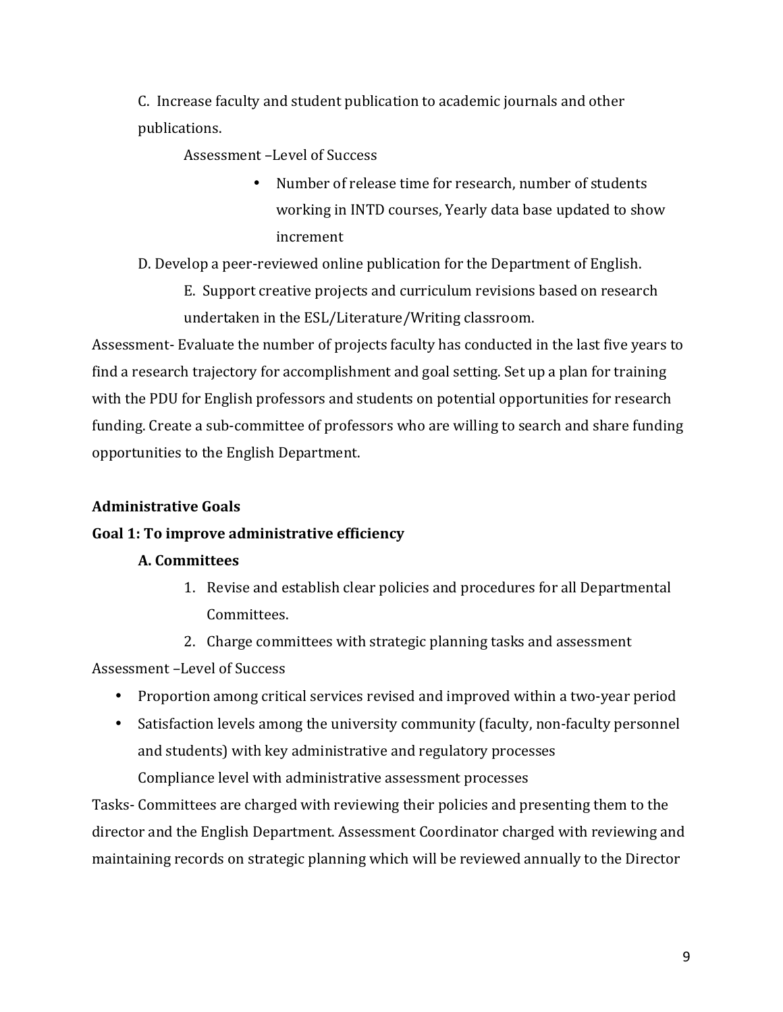C. Increase faculty and student publication to academic journals and other publications.'

Assessment-Level of Success

• Number of release time for research, number of students working in INTD courses, Yearly data base updated to show increment

D. Develop a peer-reviewed online publication for the Department of English.

E. Support creative projects and curriculum revisions based on research undertaken in the ESL/Literature/Writing classroom.

Assessment-Evaluate the number of projects faculty has conducted in the last five years to find a research trajectory for accomplishment and goal setting. Set up a plan for training with the PDU for English professors and students on potential opportunities for research funding. Create a sub-committee of professors who are willing to search and share funding opportunities to the English Department.

# **Administrative!Goals**

## Goal 1: To improve administrative efficiency

## **A.!Committees!**

- 1. Revise and establish clear policies and procedures for all Departmental Committees.'
- 2. Charge committees with strategic planning tasks and assessment

Assessment-Level of Success

- Proportion among critical services revised and improved within a two-year period
- Satisfaction levels among the university community (faculty, non-faculty personnel and students) with key administrative and regulatory processes

Compliance level with administrative assessment processes

Tasks-Committees are charged with reviewing their policies and presenting them to the director and the English Department. Assessment Coordinator charged with reviewing and maintaining records on strategic planning which will be reviewed annually to the Director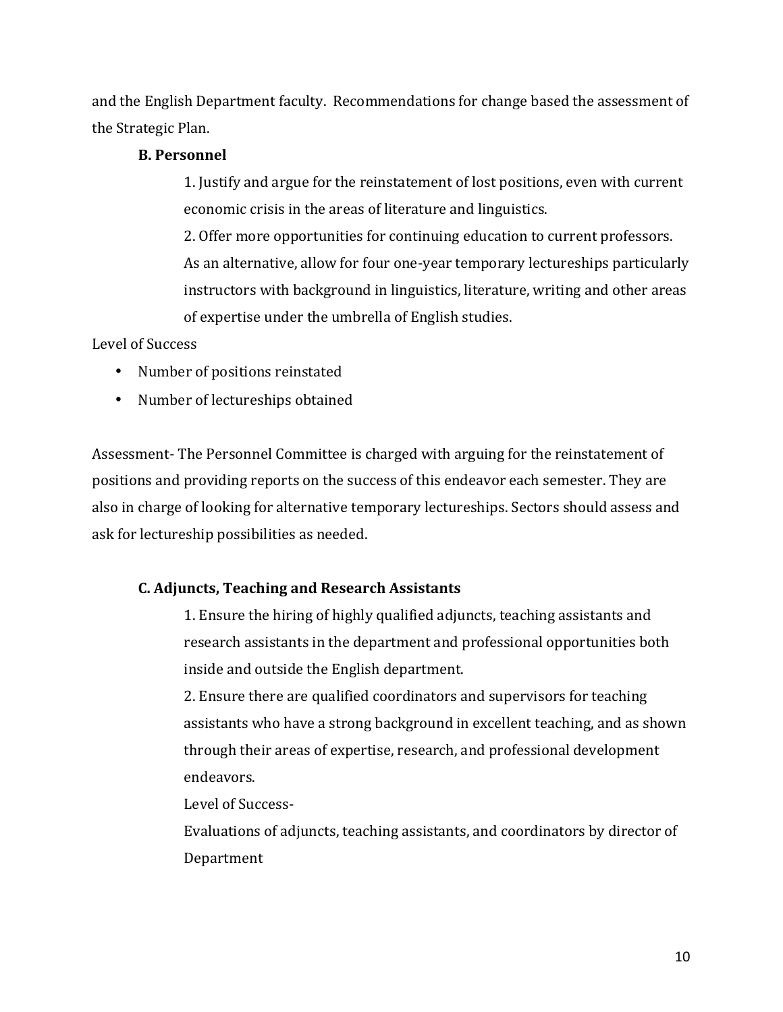and the English Department faculty. Recommendations for change based the assessment of the Strategic Plan.

### **B.** Personnel

1. Justify and argue for the reinstatement of lost positions, even with current economic crisis in the areas of literature and linguistics.

2. Offer more opportunities for continuing education to current professors. As an alternative, allow for four one-year temporary lectureships particularly instructors with background in linguistics, literature, writing and other areas of expertise under the umbrella of English studies.

### Level of Success

- Number of positions reinstated
- Number of lectureships obtained

Assessment-The Personnel Committee is charged with arguing for the reinstatement of positions and providing reports on the success of this endeavor each semester. They are also in charge of looking for alternative temporary lectureships. Sectors should assess and ask for lectureship possibilities as needed.

## **C. Adjuncts, Teaching and Research Assistants**

1. Ensure the hiring of highly qualified adjuncts, teaching assistants and research assistants in the department and professional opportunities both inside and outside the English department.

2. Ensure there are qualified coordinators and supervisors for teaching assistants who have a strong background in excellent teaching, and as shown through their areas of expertise, research, and professional development endeavors.

Level of Success-

Evaluations of adjuncts, teaching assistants, and coordinators by director of Department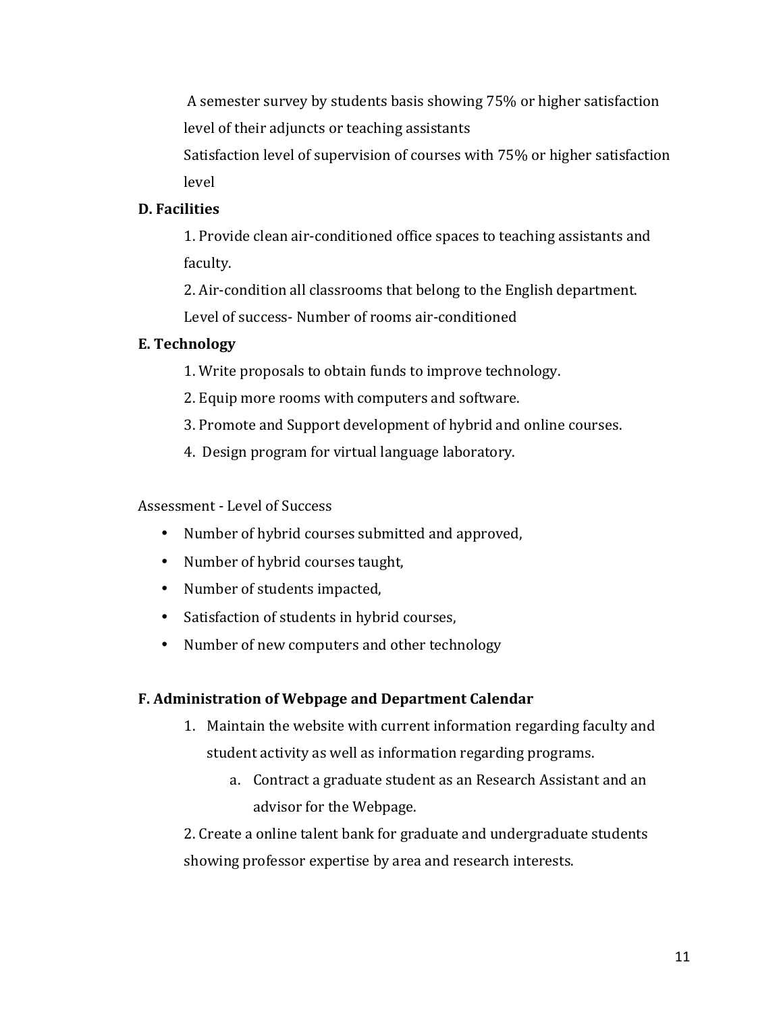A semester survey by students basis showing 75% or higher satisfaction level of their adjuncts or teaching assistants

Satisfaction level of supervision of courses with 75% or higher satisfaction level

# **D.** Facilities

1. Provide clean air-conditioned office spaces to teaching assistants and faculty.

2. Air-condition all classrooms that belong to the English department. Level of success- Number of rooms air-conditioned

# **E.** Technology

1. Write proposals to obtain funds to improve technology.

2. Equip more rooms with computers and software.

3. Promote and Support development of hybrid and online courses.

4. Design program for virtual language laboratory.

Assessment - Level of Success

- Number of hybrid courses submitted and approved,
- Number of hybrid courses taught,
- Number of students impacted,
- Satisfaction of students in hybrid courses,
- Number of new computers and other technology

## **F. Administration of Webpage and Department Calendar**

- 1. Maintain the website with current information regarding faculty and student activity as well as information regarding programs.
	- a. Contract a graduate student as an Research Assistant and an advisor for the Webpage.

2. Create a online talent bank for graduate and undergraduate students showing professor expertise by area and research interests.